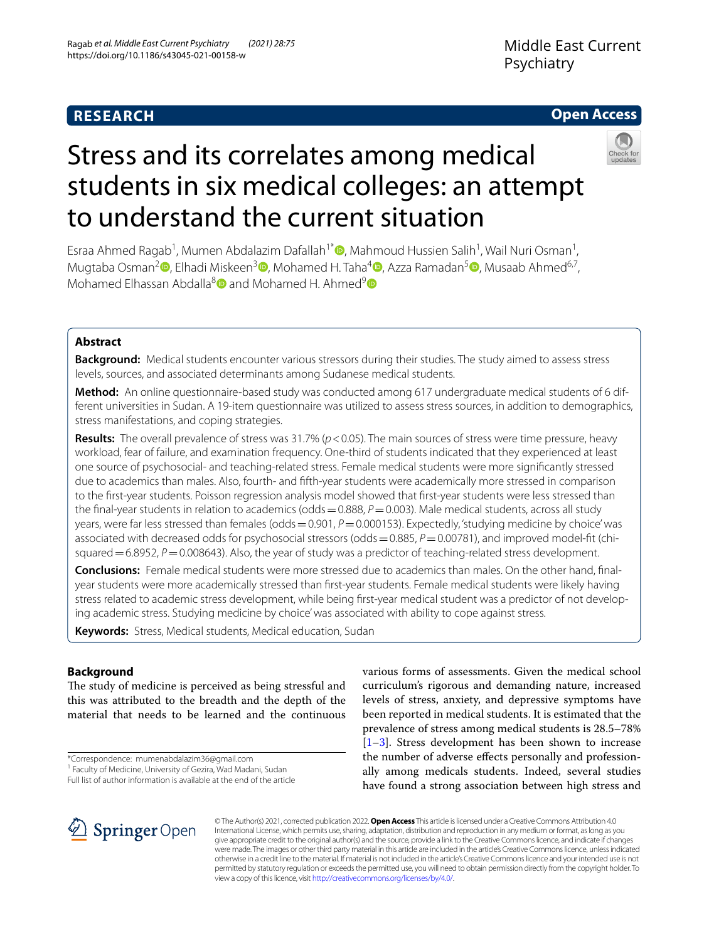# **RESEARCH**

# **Open Access**



# Stress and its correlates among medical students in six medical colleges: an attempt to understand the current situation

Esraa Ahmed Ragab<sup>1</sup>[,](http://orcid.org/0000-0002-4300-9481) Mumen Abdalazim Dafallah<sup>1\*</sup> (**D**, Mahmoud Hussien Salih<sup>1</sup>, Wail Nuri Osman<sup>1</sup>, Mugtaba Osman<sup>2</sup> [,](http://orcid.org/0000-0001-5988-7783) Elhadi Miskeen<sup>3</sup> [,](http://orcid.org/0000-0001-6853-3004) Mohamed H. Taha<sup>[4](http://orcid.org/0000-0003-0808-5590)</sup> , Azza Ramadan<sup>5</sup> , Musaab Ahmed<sup>6,7</sup>, Mohamed Elhassan Abdalla<sup>[8](http://orcid.org/0000-0002-9241-1370)</sup> and Mohamed H. Ahmed<sup>[9](http://orcid.org/0000-0001-8045-6996)</sup>

# **Abstract**

**Background:** Medical students encounter various stressors during their studies. The study aimed to assess stress levels, sources, and associated determinants among Sudanese medical students.

**Method:** An online questionnaire-based study was conducted among 617 undergraduate medical students of 6 different universities in Sudan. A 19-item questionnaire was utilized to assess stress sources, in addition to demographics, stress manifestations, and coping strategies.

**Results:** The overall prevalence of stress was 31.7% (*p* < 0.05). The main sources of stress were time pressure, heavy workload, fear of failure, and examination frequency. One-third of students indicated that they experienced at least one source of psychosocial- and teaching-related stress. Female medical students were more signifcantly stressed due to academics than males. Also, fourth- and ffth-year students were academically more stressed in comparison to the frst-year students. Poisson regression analysis model showed that frst-year students were less stressed than the final-year students in relation to academics (odds =  $0.888$ ,  $P$  = 0.003). Male medical students, across all study years, were far less stressed than females (odds = 0.901, P = 0.000153). Expectedly, 'studying medicine by choice' was associated with decreased odds for psychosocial stressors (odds=0.885, *P*=0.00781), and improved model-ft (chisquared  $=6.8952$ ,  $P=0.008643$ ). Also, the year of study was a predictor of teaching-related stress development.

**Conclusions:** Female medical students were more stressed due to academics than males. On the other hand, fnalyear students were more academically stressed than frst-year students. Female medical students were likely having stress related to academic stress development, while being frst-year medical student was a predictor of not developing academic stress. Studying medicine by choice' was associated with ability to cope against stress.

**Keywords:** Stress, Medical students, Medical education, Sudan

# **Background**

The study of medicine is perceived as being stressful and this was attributed to the breadth and the depth of the material that needs to be learned and the continuous

\*Correspondence: mumenabdalazim36@gmail.com

various forms of assessments. Given the medical school curriculum's rigorous and demanding nature, increased levels of stress, anxiety, and depressive symptoms have been reported in medical students. It is estimated that the prevalence of stress among medical students is 28.5–78% [[1–](#page-9-0)[3\]](#page-9-1). Stress development has been shown to increase the number of adverse efects personally and professionally among medicals students. Indeed, several studies have found a strong association between high stress and



© The Author(s) 2021, corrected publication 2022. **Open Access** This article is licensed under a Creative Commons Attribution 4.0 International License, which permits use, sharing, adaptation, distribution and reproduction in any medium or format, as long as you give appropriate credit to the original author(s) and the source, provide a link to the Creative Commons licence, and indicate if changes were made. The images or other third party material in this article are included in the article's Creative Commons licence, unless indicated otherwise in a credit line to the material. If material is not included in the article's Creative Commons licence and your intended use is not permitted by statutory regulation or exceeds the permitted use, you will need to obtain permission directly from the copyright holder. To view a copy of this licence, visit [http://creativecommons.org/licenses/by/4.0/.](http://creativecommons.org/licenses/by/4.0/)

<sup>&</sup>lt;sup>1</sup> Faculty of Medicine, University of Gezira, Wad Madani, Sudan

Full list of author information is available at the end of the article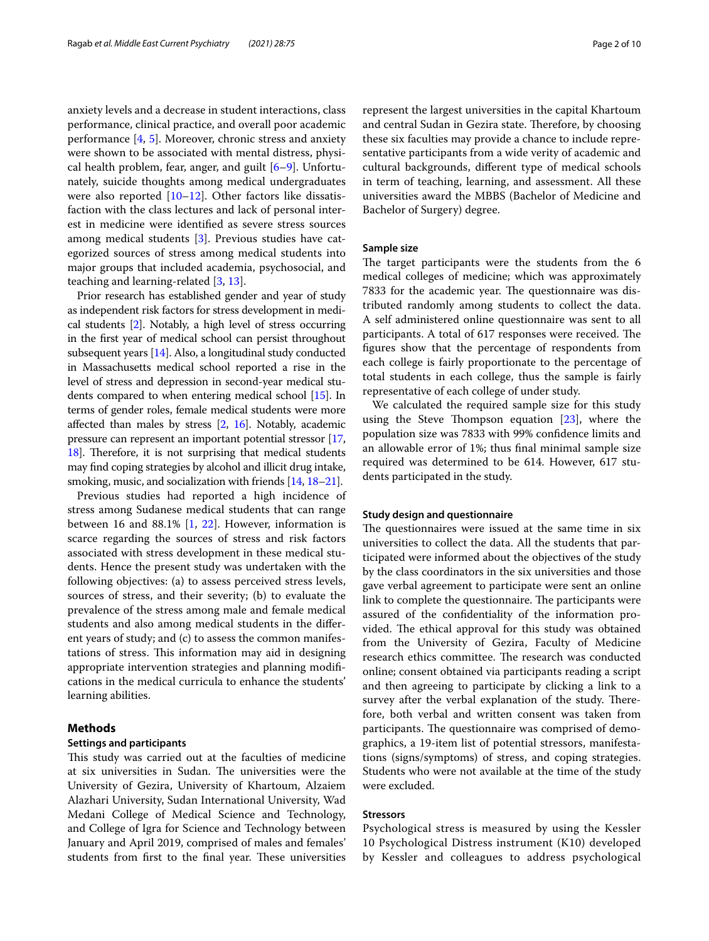anxiety levels and a decrease in student interactions, class performance, clinical practice, and overall poor academic performance [\[4](#page-9-2), [5](#page-9-3)]. Moreover, chronic stress and anxiety were shown to be associated with mental distress, physical health problem, fear, anger, and guilt [[6–](#page-9-4)[9\]](#page-9-5). Unfortunately, suicide thoughts among medical undergraduates were also reported [\[10](#page-9-6)–[12\]](#page-9-7). Other factors like dissatisfaction with the class lectures and lack of personal interest in medicine were identifed as severe stress sources among medical students [\[3](#page-9-1)]. Previous studies have categorized sources of stress among medical students into major groups that included academia, psychosocial, and teaching and learning-related [\[3](#page-9-1), [13](#page-9-8)].

Prior research has established gender and year of study as independent risk factors for stress development in medical students [\[2\]](#page-9-9). Notably, a high level of stress occurring in the frst year of medical school can persist throughout subsequent years [\[14\]](#page-9-10). Also, a longitudinal study conducted in Massachusetts medical school reported a rise in the level of stress and depression in second-year medical students compared to when entering medical school [\[15](#page-9-11)]. In terms of gender roles, female medical students were more afected than males by stress [\[2,](#page-9-9) [16](#page-9-12)]. Notably, academic pressure can represent an important potential stressor [[17](#page-9-13), [18](#page-9-14)]. Therefore, it is not surprising that medical students may fnd coping strategies by alcohol and illicit drug intake, smoking, music, and socialization with friends [\[14,](#page-9-10) [18](#page-9-14)[–21\]](#page-9-15).

Previous studies had reported a high incidence of stress among Sudanese medical students that can range between 16 and 88.1% [[1,](#page-9-0) [22\]](#page-9-16). However, information is scarce regarding the sources of stress and risk factors associated with stress development in these medical students. Hence the present study was undertaken with the following objectives: (a) to assess perceived stress levels, sources of stress, and their severity; (b) to evaluate the prevalence of the stress among male and female medical students and also among medical students in the diferent years of study; and (c) to assess the common manifestations of stress. This information may aid in designing appropriate intervention strategies and planning modifcations in the medical curricula to enhance the students' learning abilities.

# **Methods**

## **Settings and participants**

This study was carried out at the faculties of medicine at six universities in Sudan. The universities were the University of Gezira, University of Khartoum, Alzaiem Alazhari University, Sudan International University, Wad Medani College of Medical Science and Technology, and College of Igra for Science and Technology between January and April 2019, comprised of males and females' students from first to the final year. These universities represent the largest universities in the capital Khartoum and central Sudan in Gezira state. Therefore, by choosing these six faculties may provide a chance to include representative participants from a wide verity of academic and cultural backgrounds, diferent type of medical schools in term of teaching, learning, and assessment. All these universities award the MBBS (Bachelor of Medicine and Bachelor of Surgery) degree.

#### **Sample size**

The target participants were the students from the 6 medical colleges of medicine; which was approximately 7833 for the academic year. The questionnaire was distributed randomly among students to collect the data. A self administered online questionnaire was sent to all participants. A total of 617 responses were received. The fgures show that the percentage of respondents from each college is fairly proportionate to the percentage of total students in each college, thus the sample is fairly representative of each college of under study.

We calculated the required sample size for this study using the Steve Thompson equation  $[23]$  $[23]$ , where the population size was 7833 with 99% confdence limits and an allowable error of 1%; thus fnal minimal sample size required was determined to be 614. However, 617 students participated in the study.

## **Study design and questionnaire**

The questionnaires were issued at the same time in six universities to collect the data. All the students that participated were informed about the objectives of the study by the class coordinators in the six universities and those gave verbal agreement to participate were sent an online link to complete the questionnaire. The participants were assured of the confdentiality of the information provided. The ethical approval for this study was obtained from the University of Gezira, Faculty of Medicine research ethics committee. The research was conducted online; consent obtained via participants reading a script and then agreeing to participate by clicking a link to a survey after the verbal explanation of the study. Therefore, both verbal and written consent was taken from participants. The questionnaire was comprised of demographics, a 19-item list of potential stressors, manifestations (signs/symptoms) of stress, and coping strategies. Students who were not available at the time of the study were excluded.

#### **Stressors**

Psychological stress is measured by using the Kessler 10 Psychological Distress instrument (K10) developed by Kessler and colleagues to address psychological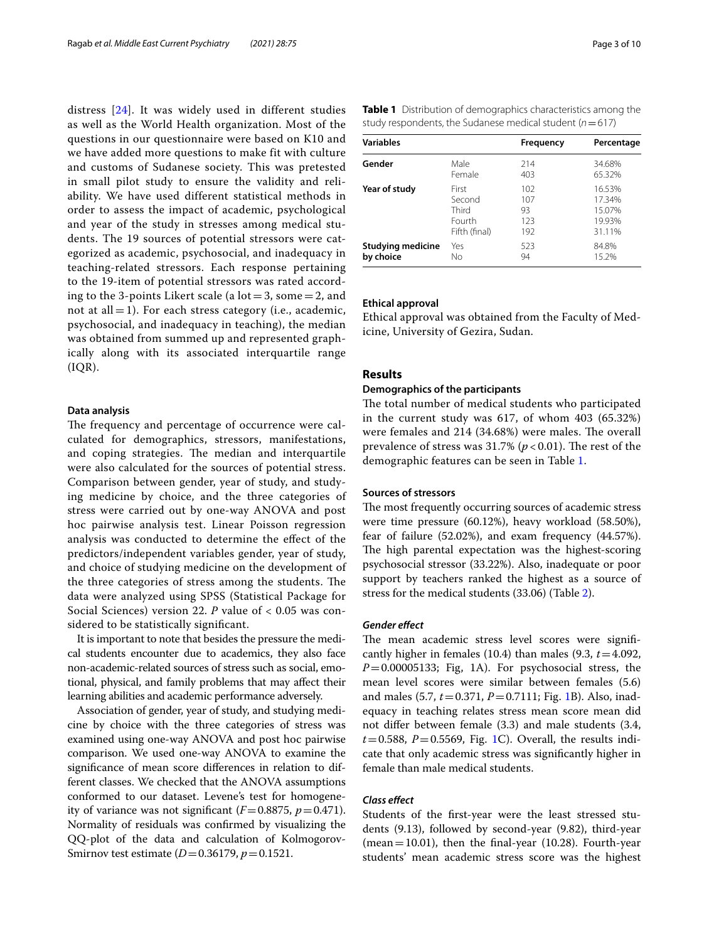distress [[24](#page-9-18)]. It was widely used in different studies as well as the World Health organization. Most of the questions in our questionnaire were based on K10 and we have added more questions to make fit with culture and customs of Sudanese society. This was pretested in small pilot study to ensure the validity and reliability. We have used different statistical methods in order to assess the impact of academic, psychological and year of the study in stresses among medical students. The 19 sources of potential stressors were categorized as academic, psychosocial, and inadequacy in teaching-related stressors. Each response pertaining to the 19-item of potential stressors was rated according to the 3-points Likert scale (a  $\text{lot} = 3$ , some  $= 2$ , and not at all  $=$  1). For each stress category (i.e., academic, psychosocial, and inadequacy in teaching), the median was obtained from summed up and represented graphically along with its associated interquartile range  $(IQR).$ 

## **Data analysis**

The frequency and percentage of occurrence were calculated for demographics, stressors, manifestations, and coping strategies. The median and interquartile were also calculated for the sources of potential stress. Comparison between gender, year of study, and studying medicine by choice, and the three categories of stress were carried out by one-way ANOVA and post hoc pairwise analysis test. Linear Poisson regression analysis was conducted to determine the efect of the predictors/independent variables gender, year of study, and choice of studying medicine on the development of the three categories of stress among the students. The data were analyzed using SPSS (Statistical Package for Social Sciences) version 22. *P* value of < 0.05 was considered to be statistically signifcant.

It is important to note that besides the pressure the medical students encounter due to academics, they also face non-academic-related sources of stress such as social, emotional, physical, and family problems that may afect their learning abilities and academic performance adversely.

Association of gender, year of study, and studying medicine by choice with the three categories of stress was examined using one-way ANOVA and post hoc pairwise comparison. We used one-way ANOVA to examine the signifcance of mean score diferences in relation to different classes. We checked that the ANOVA assumptions conformed to our dataset. Levene's test for homogeneity of variance was not significant  $(F=0.8875, p=0.471)$ . Normality of residuals was confrmed by visualizing the QQ-plot of the data and calculation of Kolmogorov-Smirnov test estimate (*D*=0.36179, *p*=0.1521.

<span id="page-2-0"></span>

| <b>Variables</b>         |               | Frequency | Percentage |
|--------------------------|---------------|-----------|------------|
| Gender                   | Male          | 214       | 34.68%     |
|                          | Female        | 403       | 65.32%     |
| Year of study            | First         | 102       | 16.53%     |
|                          | Second        | 107       | 17.34%     |
|                          | Third         | 93        | 15.07%     |
|                          | Fourth        | 123       | 19.93%     |
|                          | Fifth (final) | 192       | 31.11%     |
| <b>Studying medicine</b> | Yes           | 523       | 84.8%      |
| by choice                | Νo            | 94        | 15.2%      |

# **Ethical approval**

Ethical approval was obtained from the Faculty of Medicine, University of Gezira, Sudan.

# **Results**

# **Demographics of the participants**

The total number of medical students who participated in the current study was 617, of whom 403 (65.32%) were females and 214 (34.68%) were males. The overall prevalence of stress was  $31.7\%$  ( $p < 0.01$ ). The rest of the demographic features can be seen in Table [1.](#page-2-0)

# **Sources of stressors**

The most frequently occurring sources of academic stress were time pressure (60.12%), heavy workload (58.50%), fear of failure (52.02%), and exam frequency (44.57%). The high parental expectation was the highest-scoring psychosocial stressor (33.22%). Also, inadequate or poor support by teachers ranked the highest as a source of stress for the medical students (33.06) (Table [2](#page-3-0)).

#### *Gender efect*

The mean academic stress level scores were significantly higher in females (10.4) than males (9.3,  $t = 4.092$ , *P*=0.00005133; Fig, 1A). For psychosocial stress, the mean level scores were similar between females (5.6) and males (5.7, *t*=0.371, *P*=0.7111; Fig. [1](#page-4-0)B). Also, inadequacy in teaching relates stress mean score mean did not difer between female (3.3) and male students (3.4,  $t=0.588$ ,  $P=0.5569$ , Fig. [1](#page-4-0)C). Overall, the results indicate that only academic stress was signifcantly higher in female than male medical students.

# *Class efect*

Students of the frst-year were the least stressed students (9.13), followed by second-year (9.82), third-year (mean  $=10.01$ ), then the final-year (10.28). Fourth-year students' mean academic stress score was the highest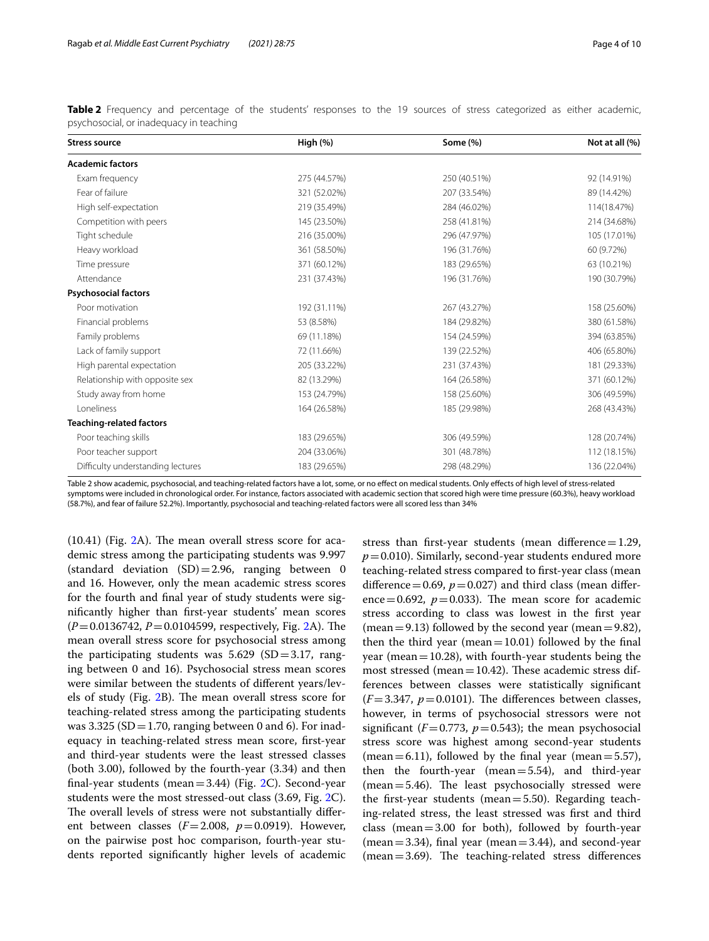| <b>Stress source</b>              | High (%)     | Some (%)     | Not at all (%) |
|-----------------------------------|--------------|--------------|----------------|
| <b>Academic factors</b>           |              |              |                |
| Exam frequency                    | 275 (44.57%) | 250 (40.51%) | 92 (14.91%)    |
| Fear of failure                   | 321 (52.02%) | 207 (33.54%) | 89 (14.42%)    |
| High self-expectation             | 219 (35.49%) | 284 (46.02%) | 114(18.47%)    |
| Competition with peers            | 145 (23.50%) | 258 (41.81%) | 214 (34.68%)   |
| Tight schedule                    | 216 (35.00%) | 296 (47.97%) | 105 (17.01%)   |
| Heavy workload                    | 361 (58.50%) | 196 (31.76%) | 60 (9.72%)     |
| Time pressure                     | 371 (60.12%) | 183 (29.65%) | 63 (10.21%)    |
| Attendance                        | 231 (37.43%) | 196 (31.76%) | 190 (30.79%)   |
| <b>Psychosocial factors</b>       |              |              |                |
| Poor motivation                   | 192 (31.11%) | 267 (43.27%) | 158 (25.60%)   |
| Financial problems                | 53 (8.58%)   | 184 (29.82%) | 380 (61.58%)   |
| Family problems                   | 69 (11.18%)  | 154 (24.59%) | 394 (63.85%)   |
| Lack of family support            | 72 (11.66%)  | 139 (22.52%) | 406 (65.80%)   |
| High parental expectation         | 205 (33.22%) | 231 (37.43%) | 181 (29.33%)   |
| Relationship with opposite sex    | 82 (13.29%)  | 164 (26.58%) | 371 (60.12%)   |
| Study away from home              | 153 (24.79%) | 158 (25.60%) | 306 (49.59%)   |
| Loneliness                        | 164 (26.58%) | 185 (29.98%) | 268 (43.43%)   |
| <b>Teaching-related factors</b>   |              |              |                |
| Poor teaching skills              | 183 (29.65%) | 306 (49.59%) | 128 (20.74%)   |
| Poor teacher support              | 204 (33.06%) | 301 (48.78%) | 112 (18.15%)   |
| Difficulty understanding lectures | 183 (29.65%) | 298 (48.29%) | 136 (22.04%)   |

<span id="page-3-0"></span>**Table 2** Frequency and percentage of the students' responses to the 19 sources of stress categorized as either academic, psychosocial, or inadequacy in teaching

Table 2 show academic, psychosocial, and teaching-related factors have a lot, some, or no efect on medical students. Only efects of high level of stress-related symptoms were included in chronological order. For instance, factors associated with academic section that scored high were time pressure (60.3%), heavy workload

(58.7%), and fear of failure 52.2%). Importantly, psychosocial and teaching-related factors were all scored less than 34%

 $(10.41)$  (Fig. [2A](#page-5-0)). The mean overall stress score for academic stress among the participating students was 9.997 (standard deviation  $(SD) = 2.96$ , ranging between 0 and 16. However, only the mean academic stress scores for the fourth and fnal year of study students were signifcantly higher than frst-year students' mean scores  $(P=0.0136742, P=0.0104599,$  respectively, Fig. [2A](#page-5-0)). The mean overall stress score for psychosocial stress among the participating students was  $5.629$  (SD=3.17, ranging between 0 and 16). Psychosocial stress mean scores were similar between the students of diferent years/lev-els of study (Fig. [2](#page-5-0)B). The mean overall stress score for teaching-related stress among the participating students was 3.325 (SD = 1.70, ranging between 0 and 6). For inadequacy in teaching-related stress mean score, frst-year and third-year students were the least stressed classes (both 3.00), followed by the fourth-year (3.34) and then final-year students (mean  $=$  3.44) (Fig. [2C](#page-5-0)). Second-year students were the most stressed-out class (3.69, Fig. [2](#page-5-0)C). The overall levels of stress were not substantially different between classes  $(F=2.008, p=0.0919)$ . However, on the pairwise post hoc comparison, fourth-year students reported signifcantly higher levels of academic

stress than first-year students (mean difference $=1.29$ ,  $p=0.010$ ). Similarly, second-year students endured more teaching-related stress compared to frst-year class (mean difference =  $0.69$ ,  $p = 0.027$ ) and third class (mean difference=0.692,  $p=0.033$ ). The mean score for academic stress according to class was lowest in the frst year (mean = 9.13) followed by the second year (mean = 9.82), then the third year (mean  $=10.01$ ) followed by the final year (mean  $=10.28$ ), with fourth-year students being the most stressed (mean  $=10.42$ ). These academic stress differences between classes were statistically signifcant  $(F=3.347, p=0.0101)$ . The differences between classes, however, in terms of psychosocial stressors were not significant ( $F=0.773$ ,  $p=0.543$ ); the mean psychosocial stress score was highest among second-year students (mean  $=6.11$ ), followed by the final year (mean  $=5.57$ ), then the fourth-year (mean= $5.54$ ), and third-year  $(mean = 5.46)$ . The least psychosocially stressed were the first-year students (mean= $5.50$ ). Regarding teaching-related stress, the least stressed was frst and third class (mean= $3.00$  for both), followed by fourth-year  $(mean = 3.34)$ , final year  $(mean = 3.44)$ , and second-year  $(mean = 3.69)$ . The teaching-related stress differences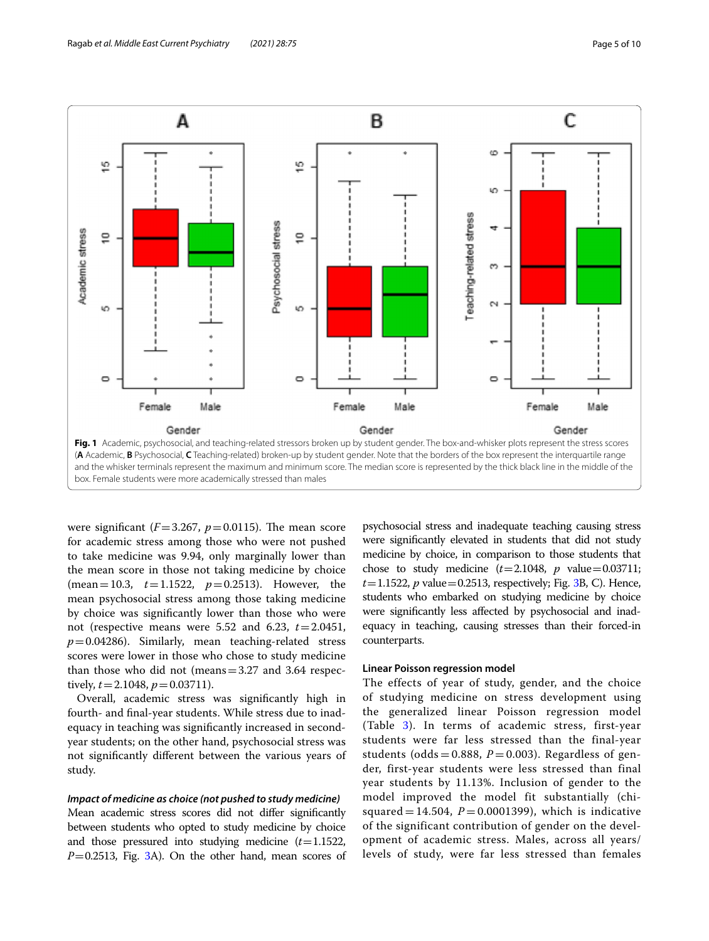

<span id="page-4-0"></span>were significant  $(F=3.267, p=0.0115)$ . The mean score for academic stress among those who were not pushed to take medicine was 9.94, only marginally lower than the mean score in those not taking medicine by choice (mean=10.3, *t*=1.1522, *p*=0.2513). However, the mean psychosocial stress among those taking medicine by choice was signifcantly lower than those who were not (respective means were 5.52 and 6.23, *t*=2.0451,  $p=0.04286$ ). Similarly, mean teaching-related stress scores were lower in those who chose to study medicine than those who did not (means=3.27 and 3.64 respectively,  $t = 2.1048$ ,  $p = 0.03711$ .

Overall, academic stress was signifcantly high in fourth- and fnal-year students. While stress due to inadequacy in teaching was signifcantly increased in secondyear students; on the other hand, psychosocial stress was not signifcantly diferent between the various years of study.

# *Impact of medicine as choice (not pushed to study medicine)*

Mean academic stress scores did not difer signifcantly between students who opted to study medicine by choice and those pressured into studying medicine (*t*=1.1522, *P*=0.2513, Fig. [3](#page-6-0)A). On the other hand, mean scores of psychosocial stress and inadequate teaching causing stress were signifcantly elevated in students that did not study medicine by choice, in comparison to those students that chose to study medicine  $(t=2.1048, p$  value=0.03711;  $t=1.1522$ ,  $p$  value = 0.251[3](#page-6-0), respectively; Fig. 3B, C). Hence, students who embarked on studying medicine by choice were signifcantly less afected by psychosocial and inadequacy in teaching, causing stresses than their forced-in counterparts.

# **Linear Poisson regression model**

The effects of year of study, gender, and the choice of studying medicine on stress development using the generalized linear Poisson regression model (Table [3\)](#page-6-1). In terms of academic stress, first-year students were far less stressed than the final-year students (odds = 0.888,  $P = 0.003$ ). Regardless of gender, first-year students were less stressed than final year students by 11.13%. Inclusion of gender to the model improved the model fit substantially (chisquared  $= 14.504$ ,  $P = 0.0001399$ ), which is indicative of the significant contribution of gender on the development of academic stress. Males, across all years/ levels of study, were far less stressed than females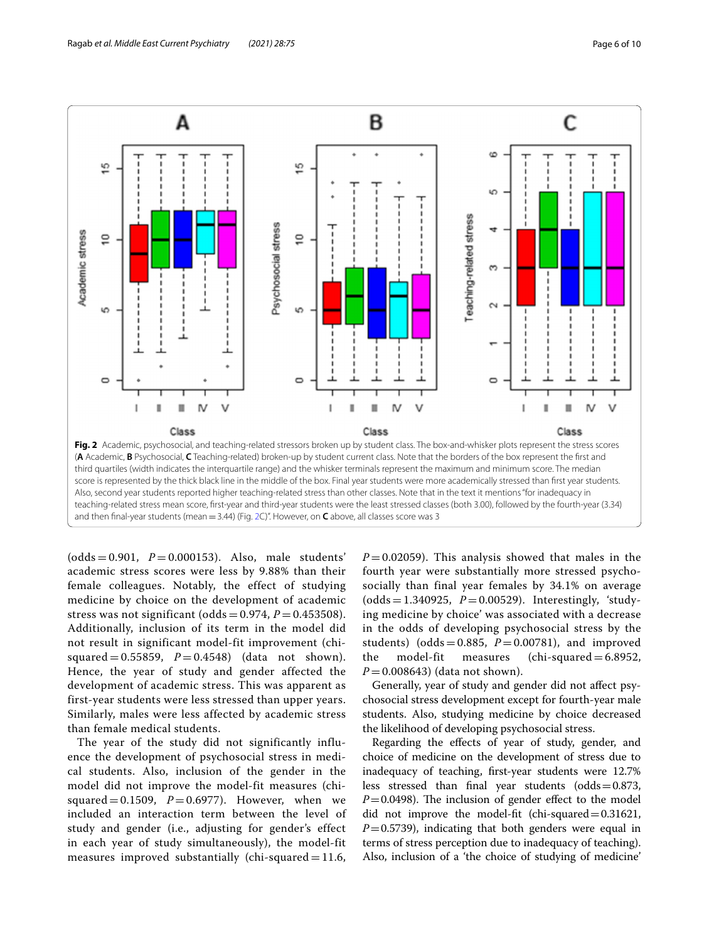

<span id="page-5-0"></span> $(odds = 0.901, P = 0.000153)$ . Also, male students' academic stress scores were less by 9.88% than their female colleagues. Notably, the effect of studying medicine by choice on the development of academic stress was not significant (odds =  $0.974$ ,  $P = 0.453508$ ). Additionally, inclusion of its term in the model did not result in significant model-fit improvement (chisquared =  $0.55859$ ,  $P = 0.4548$ ) (data not shown). Hence, the year of study and gender affected the development of academic stress. This was apparent as first-year students were less stressed than upper years. Similarly, males were less affected by academic stress than female medical students.

The year of the study did not significantly influence the development of psychosocial stress in medical students. Also, inclusion of the gender in the model did not improve the model-fit measures (chisquared  $= 0.1509$ ,  $P = 0.6977$ ). However, when we included an interaction term between the level of study and gender (i.e., adjusting for gender's effect in each year of study simultaneously), the model-fit measures improved substantially (chi-squared  $= 11.6$ ,

 $P = 0.02059$ . This analysis showed that males in the fourth year were substantially more stressed psychosocially than final year females by 34.1% on average  $(odds = 1.340925, P = 0.00529)$ . Interestingly, 'studying medicine by choice' was associated with a decrease in the odds of developing psychosocial stress by the students) (odds = 0.885,  $P = 0.00781$ ), and improved<br>the model-fit measures (chi-squared = 6.8952,  $\text{(chi-squared}= 6.8952,$ *P* = 0.008643) (data not shown).

Generally, year of study and gender did not afect psychosocial stress development except for fourth-year male students. Also, studying medicine by choice decreased the likelihood of developing psychosocial stress.

Regarding the efects of year of study, gender, and choice of medicine on the development of stress due to inadequacy of teaching, frst-year students were 12.7% less stressed than final year students (odds= $0.873$ ,  $P=0.0498$ ). The inclusion of gender effect to the model did not improve the model-ft (chi-squared=0.31621, *P*=0.5739), indicating that both genders were equal in terms of stress perception due to inadequacy of teaching). Also, inclusion of a 'the choice of studying of medicine'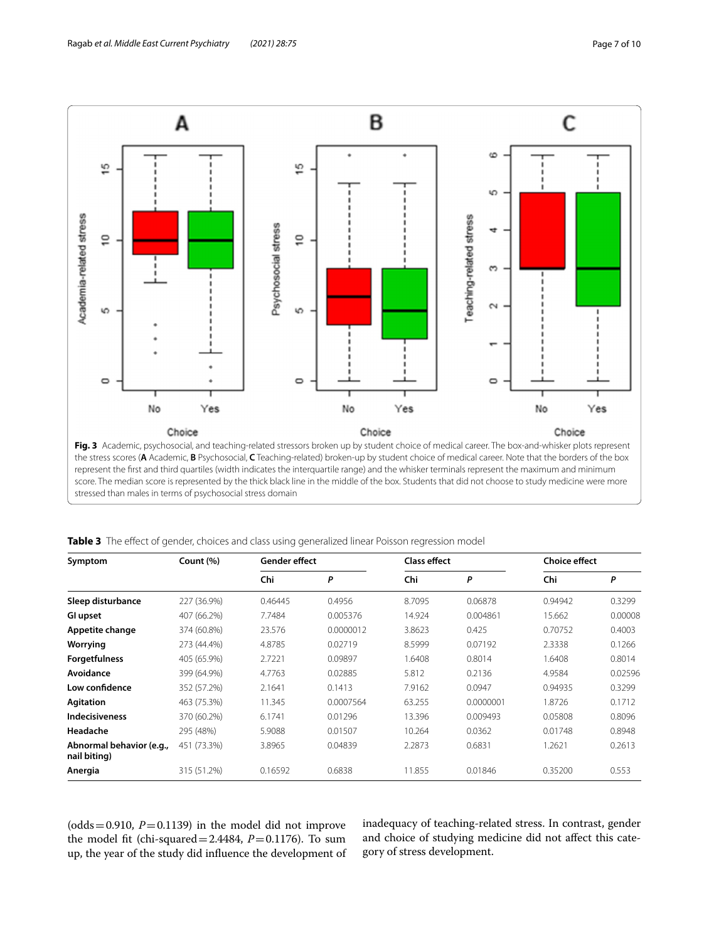

<span id="page-6-1"></span><span id="page-6-0"></span>**Table 3** The efect of gender, choices and class using generalized linear Poisson regression model

| Symptom                                  | Count (%)   | Gender effect |           | <b>Class effect</b> |           | <b>Choice effect</b> |         |
|------------------------------------------|-------------|---------------|-----------|---------------------|-----------|----------------------|---------|
|                                          |             | Chi           | P         | Chi                 | P         | Chi                  | P       |
| Sleep disturbance                        | 227 (36.9%) | 0.46445       | 0.4956    | 8.7095              | 0.06878   | 0.94942              | 0.3299  |
| GI upset                                 | 407 (66.2%) | 7.7484        | 0.005376  | 14.924              | 0.004861  | 15.662               | 0.00008 |
| Appetite change                          | 374 (60.8%) | 23.576        | 0.0000012 | 3.8623              | 0.425     | 0.70752              | 0.4003  |
| Worrying                                 | 273 (44.4%) | 4.8785        | 0.02719   | 8.5999              | 0.07192   | 2.3338               | 0.1266  |
| <b>Forgetfulness</b>                     | 405 (65.9%) | 2.7221        | 0.09897   | 1.6408              | 0.8014    | 1.6408               | 0.8014  |
| Avoidance                                | 399 (64.9%) | 4.7763        | 0.02885   | 5.812               | 0.2136    | 4.9584               | 0.02596 |
| Low confidence                           | 352 (57.2%) | 2.1641        | 0.1413    | 7.9162              | 0.0947    | 0.94935              | 0.3299  |
| Agitation                                | 463 (75.3%) | 11.345        | 0.0007564 | 63.255              | 0.0000001 | 1.8726               | 0.1712  |
| <b>Indecisiveness</b>                    | 370 (60.2%) | 6.1741        | 0.01296   | 13.396              | 0.009493  | 0.05808              | 0.8096  |
| Headache                                 | 295 (48%)   | 5.9088        | 0.01507   | 10.264              | 0.0362    | 0.01748              | 0.8948  |
| Abnormal behavior (e.g.,<br>nail biting) | 451 (73.3%) | 3.8965        | 0.04839   | 2.2873              | 0.6831    | 1.2621               | 0.2613  |
| Anergia                                  | 315 (51.2%) | 0.16592       | 0.6838    | 11.855              | 0.01846   | 0.35200              | 0.553   |

(odds=0.910,  $P=0.1139$ ) in the model did not improve the model fit (chi-squared= $2.4484$ ,  $P=0.1176$ ). To sum up, the year of the study did infuence the development of inadequacy of teaching-related stress. In contrast, gender and choice of studying medicine did not afect this category of stress development.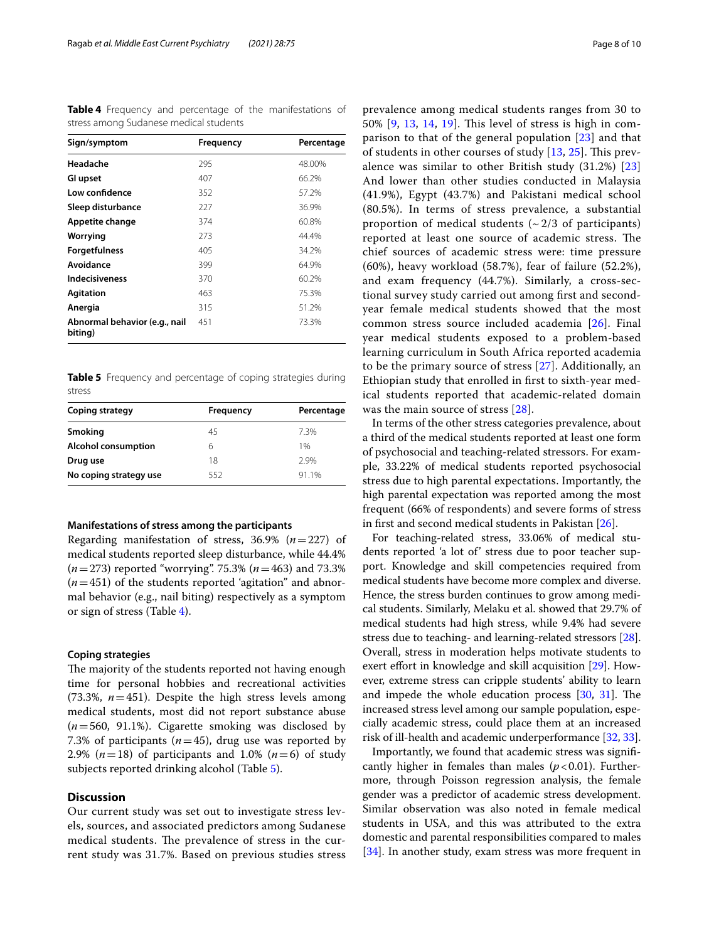<span id="page-7-0"></span>**Table 4** Frequency and percentage of the manifestations of stress among Sudanese medical students

| Sign/symptom                             | Frequency | Percentage |
|------------------------------------------|-----------|------------|
| Headache                                 | 295       | 48.00%     |
| GI upset                                 | 407       | 66.2%      |
| Low confidence                           | 352       | 57.2%      |
| Sleep disturbance                        | 227       | 36.9%      |
| Appetite change                          | 374       | 60.8%      |
| Worrying                                 | 273       | 44.4%      |
| <b>Forgetfulness</b>                     | 405       | 34.2%      |
| Avoidance                                | 399       | 64.9%      |
| <b>Indecisiveness</b>                    | 370       | 60.2%      |
| <b>Agitation</b>                         | 463       | 75.3%      |
| Anergia                                  | 315       | 51.2%      |
| Abnormal behavior (e.g., nail<br>biting) | 451       | 73.3%      |

<span id="page-7-1"></span>**Table 5** Frequency and percentage of coping strategies during stress

| Coping strategy            | Frequency | Percentage |
|----------------------------|-----------|------------|
| Smoking                    | 45        | 7.3%       |
| <b>Alcohol consumption</b> | 6         | 1%         |
| Drug use                   | 18        | 29%        |
| No coping strategy use     | 552       | 91.1%      |

#### **Manifestations of stress among the participants**

Regarding manifestation of stress, 36.9% (*n*=227) of medical students reported sleep disturbance, while 44.4% (*n*=273) reported "worrying". 75.3% (*n*=463) and 73.3%  $(n=451)$  of the students reported 'agitation" and abnormal behavior (e.g., nail biting) respectively as a symptom or sign of stress (Table [4](#page-7-0)).

## **Coping strategies**

The majority of the students reported not having enough time for personal hobbies and recreational activities (73.3%,  $n=451$ ). Despite the high stress levels among medical students, most did not report substance abuse (*n*=560, 91.1%). Cigarette smoking was disclosed by 7.3% of participants  $(n=45)$ , drug use was reported by 2.9%  $(n=18)$  of participants and 1.0%  $(n=6)$  of study subjects reported drinking alcohol (Table [5](#page-7-1)).

# **Discussion**

Our current study was set out to investigate stress levels, sources, and associated predictors among Sudanese medical students. The prevalence of stress in the current study was 31.7%. Based on previous studies stress prevalence among medical students ranges from 30 to 50% [[9,](#page-9-5) [13](#page-9-8), [14](#page-9-10), [19](#page-9-19)]. This level of stress is high in comparison to that of the general population [\[23\]](#page-9-17) and that of students in other courses of study  $[13, 25]$  $[13, 25]$  $[13, 25]$  $[13, 25]$ . This prevalence was similar to other British study (31.2%) [\[23](#page-9-17)] And lower than other studies conducted in Malaysia (41.9%), Egypt (43.7%) and Pakistani medical school (80.5%). In terms of stress prevalence, a substantial proportion of medical students  $({\sim}2/3$  of participants) reported at least one source of academic stress. The chief sources of academic stress were: time pressure (60%), heavy workload (58.7%), fear of failure (52.2%), and exam frequency (44.7%). Similarly, a cross-sectional survey study carried out among frst and secondyear female medical students showed that the most common stress source included academia [\[26](#page-9-21)]. Final year medical students exposed to a problem-based learning curriculum in South Africa reported academia to be the primary source of stress [[27](#page-9-22)]. Additionally, an Ethiopian study that enrolled in frst to sixth-year medical students reported that academic-related domain was the main source of stress [[28](#page-9-23)].

In terms of the other stress categories prevalence, about a third of the medical students reported at least one form of psychosocial and teaching-related stressors. For example, 33.22% of medical students reported psychosocial stress due to high parental expectations. Importantly, the high parental expectation was reported among the most frequent (66% of respondents) and severe forms of stress in frst and second medical students in Pakistan [\[26\]](#page-9-21).

For teaching-related stress, 33.06% of medical students reported 'a lot of' stress due to poor teacher support. Knowledge and skill competencies required from medical students have become more complex and diverse. Hence, the stress burden continues to grow among medical students. Similarly, Melaku et al. showed that 29.7% of medical students had high stress, while 9.4% had severe stress due to teaching- and learning-related stressors [\[28](#page-9-23)]. Overall, stress in moderation helps motivate students to exert effort in knowledge and skill acquisition [[29](#page-9-24)]. However, extreme stress can cripple students' ability to learn and impede the whole education process  $[30, 31]$  $[30, 31]$  $[30, 31]$  $[30, 31]$ . The increased stress level among our sample population, especially academic stress, could place them at an increased risk of ill-health and academic underperformance [\[32](#page-9-27), [33](#page-9-28)].

Importantly, we found that academic stress was signifcantly higher in females than males  $(p<0.01)$ . Furthermore, through Poisson regression analysis, the female gender was a predictor of academic stress development. Similar observation was also noted in female medical students in USA, and this was attributed to the extra domestic and parental responsibilities compared to males [[34\]](#page-9-29). In another study, exam stress was more frequent in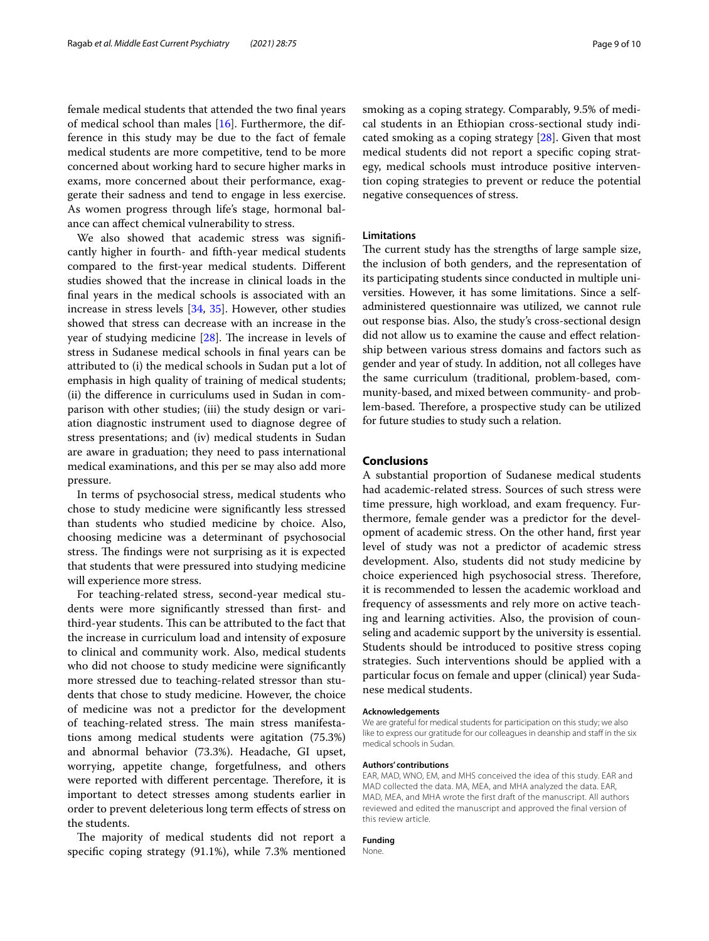female medical students that attended the two fnal years of medical school than males [[16\]](#page-9-12). Furthermore, the difference in this study may be due to the fact of female medical students are more competitive, tend to be more concerned about working hard to secure higher marks in exams, more concerned about their performance, exaggerate their sadness and tend to engage in less exercise. As women progress through life's stage, hormonal balance can afect chemical vulnerability to stress.

We also showed that academic stress was significantly higher in fourth- and ffth-year medical students compared to the frst-year medical students. Diferent studies showed that the increase in clinical loads in the fnal years in the medical schools is associated with an increase in stress levels [[34](#page-9-29), [35\]](#page-9-30). However, other studies showed that stress can decrease with an increase in the year of studying medicine  $[28]$ . The increase in levels of stress in Sudanese medical schools in fnal years can be attributed to (i) the medical schools in Sudan put a lot of emphasis in high quality of training of medical students; (ii) the diference in curriculums used in Sudan in comparison with other studies; (iii) the study design or variation diagnostic instrument used to diagnose degree of stress presentations; and (iv) medical students in Sudan are aware in graduation; they need to pass international medical examinations, and this per se may also add more pressure.

In terms of psychosocial stress, medical students who chose to study medicine were signifcantly less stressed than students who studied medicine by choice. Also, choosing medicine was a determinant of psychosocial stress. The findings were not surprising as it is expected that students that were pressured into studying medicine will experience more stress.

For teaching-related stress, second-year medical students were more signifcantly stressed than frst- and third-year students. This can be attributed to the fact that the increase in curriculum load and intensity of exposure to clinical and community work. Also, medical students who did not choose to study medicine were signifcantly more stressed due to teaching-related stressor than students that chose to study medicine. However, the choice of medicine was not a predictor for the development of teaching-related stress. The main stress manifestations among medical students were agitation (75.3%) and abnormal behavior (73.3%). Headache, GI upset, worrying, appetite change, forgetfulness, and others were reported with different percentage. Therefore, it is important to detect stresses among students earlier in order to prevent deleterious long term efects of stress on the students.

The majority of medical students did not report a specifc coping strategy (91.1%), while 7.3% mentioned smoking as a coping strategy. Comparably, 9.5% of medical students in an Ethiopian cross-sectional study indicated smoking as a coping strategy [[28\]](#page-9-23). Given that most medical students did not report a specifc coping strategy, medical schools must introduce positive intervention coping strategies to prevent or reduce the potential negative consequences of stress.

# **Limitations**

The current study has the strengths of large sample size, the inclusion of both genders, and the representation of its participating students since conducted in multiple universities. However, it has some limitations. Since a selfadministered questionnaire was utilized, we cannot rule out response bias. Also, the study's cross-sectional design did not allow us to examine the cause and efect relationship between various stress domains and factors such as gender and year of study. In addition, not all colleges have the same curriculum (traditional, problem-based, community-based, and mixed between community- and problem-based. Therefore, a prospective study can be utilized for future studies to study such a relation.

# **Conclusions**

A substantial proportion of Sudanese medical students had academic-related stress. Sources of such stress were time pressure, high workload, and exam frequency. Furthermore, female gender was a predictor for the development of academic stress. On the other hand, frst year level of study was not a predictor of academic stress development. Also, students did not study medicine by choice experienced high psychosocial stress. Therefore, it is recommended to lessen the academic workload and frequency of assessments and rely more on active teaching and learning activities. Also, the provision of counseling and academic support by the university is essential. Students should be introduced to positive stress coping strategies. Such interventions should be applied with a particular focus on female and upper (clinical) year Sudanese medical students.

#### **Acknowledgements**

We are grateful for medical students for participation on this study; we also like to express our gratitude for our colleagues in deanship and staff in the six medical schools in Sudan.

#### **Authors' contributions**

EAR, MAD, WNO, EM, and MHS conceived the idea of this study. EAR and MAD collected the data. MA, MEA, and MHA analyzed the data. EAR, MAD, MEA, and MHA wrote the first draft of the manuscript. All authors reviewed and edited the manuscript and approved the final version of this review article.

#### **Funding**

None.